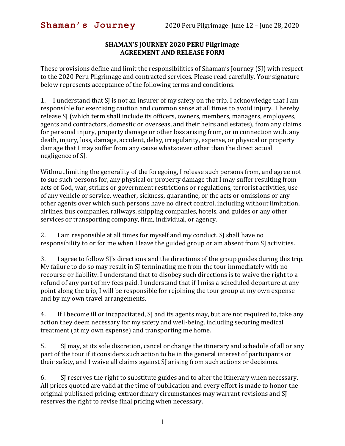## **SHAMAN'S JOURNEY 2020 PERU Pilgrimage AGREEMENT AND RELEASE FORM**

These provisions define and limit the responsibilities of Shaman's Journey (SJ) with respect to the 2020 Peru Pilgrimage and contracted services. Please read carefully. Your signature below represents acceptance of the following terms and conditions.

1. I understand that SJ is not an insurer of my safety on the trip. I acknowledge that I am responsible for exercising caution and common sense at all times to avoid injury. I hereby release SJ (which term shall include its officers, owners, members, managers, employees, agents and contractors, domestic or overseas, and their heirs and estates), from any claims for personal injury, property damage or other loss arising from, or in connection with, any death, injury, loss, damage, accident, delay, irregularity, expense, or physical or property damage that I may suffer from any cause whatsoever other than the direct actual negligence of SJ.

Without limiting the generality of the foregoing, I release such persons from, and agree not to sue such persons for, any physical or property damage that I may suffer resulting from acts of God, war, strikes or government restrictions or regulations, terrorist activities, use of any vehicle or service, weather, sickness, quarantine, or the acts or omissions or any other agents over which such persons have no direct control, including without limitation, airlines, bus companies, railways, shipping companies, hotels, and guides or any other services or transporting company, firm, individual, or agency.

2. I am responsible at all times for myself and my conduct. SJ shall have no responsibility to or for me when I leave the guided group or am absent from SJ activities.

3. I agree to follow SJ's directions and the directions of the group guides during this trip. My failure to do so may result in SJ terminating me from the tour immediately with no recourse or liability. I understand that to disobey such directions is to waive the right to a refund of any part of my fees paid. I understand that if I miss a scheduled departure at any point along the trip, I will be responsible for rejoining the tour group at my own expense and by my own travel arrangements.

4. If I become ill or incapacitated, SJ and its agents may, but are not required to, take any action they deem necessary for my safety and well-being, including securing medical treatment (at my own expense) and transporting me home.

5. SJ may, at its sole discretion, cancel or change the itinerary and schedule of all or any part of the tour if it considers such action to be in the general interest of participants or their safety, and I waive all claims against SJ arising from such actions or decisions.

6. SJ reserves the right to substitute guides and to alter the itinerary when necessary. All prices quoted are valid at the time of publication and every effort is made to honor the original published pricing; extraordinary circumstances may warrant revisions and SJ reserves the right to revise final pricing when necessary.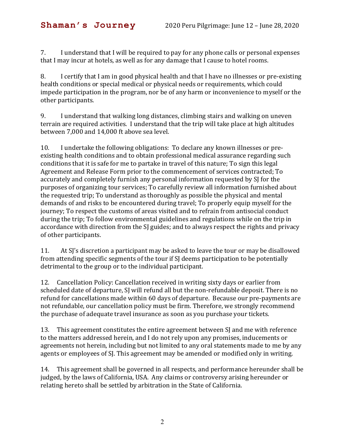7. I understand that I will be required to pay for any phone calls or personal expenses that I may incur at hotels, as well as for any damage that I cause to hotel rooms.

8. I certify that I am in good physical health and that I have no illnesses or pre-existing health conditions or special medical or physical needs or requirements, which could impede participation in the program, nor be of any harm or inconvenience to myself or the other participants.

9. I understand that walking long distances, climbing stairs and walking on uneven terrain are required activities. I understand that the trip will take place at high altitudes between 7,000 and 14,000 ft above sea level.

10. I undertake the following obligations: To declare any known illnesses or preexisting health conditions and to obtain professional medical assurance regarding such conditions that it is safe for me to partake in travel of this nature; To sign this legal Agreement and Release Form prior to the commencement of services contracted; To accurately and completely furnish any personal information requested by SJ for the purposes of organizing tour services; To carefully review all information furnished about the requested trip; To understand as thoroughly as possible the physical and mental demands of and risks to be encountered during travel; To properly equip myself for the journey; To respect the customs of areas visited and to refrain from antisocial conduct during the trip; To follow environmental guidelines and regulations while on the trip in accordance with direction from the SJ guides; and to always respect the rights and privacy of other participants.

11. At SJ's discretion a participant may be asked to leave the tour or may be disallowed from attending specific segments of the tour if SJ deems participation to be potentially detrimental to the group or to the individual participant.

12. Cancellation Policy: Cancellation received in writing sixty days or earlier from scheduled date of departure, SJ will refund all but the non-refundable deposit. There is no refund for cancellations made within 60 days of departure. Because our pre-payments are not refundable, our cancellation policy must be firm. Therefore, we strongly recommend the purchase of adequate travel insurance as soon as you purchase your tickets.

13. This agreement constitutes the entire agreement between SJ and me with reference to the matters addressed herein, and I do not rely upon any promises, inducements or agreements not herein, including but not limited to any oral statements made to me by any agents or employees of SJ. This agreement may be amended or modified only in writing.

14. This agreement shall be governed in all respects, and performance hereunder shall be judged, by the laws of California, USA. Any claims or controversy arising hereunder or relating hereto shall be settled by arbitration in the State of California.